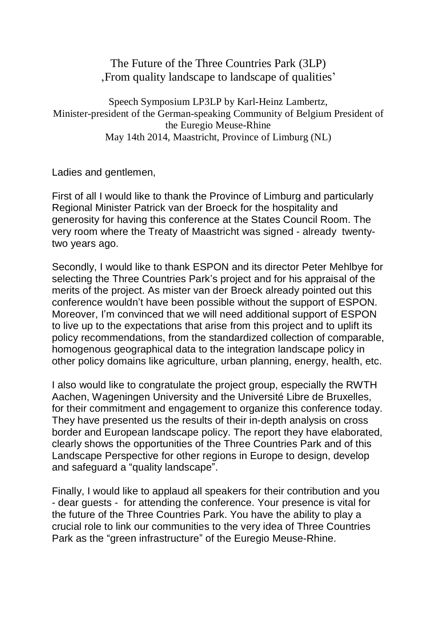The Future of the Three Countries Park (3LP) 'From quality landscape to landscape of qualities'

Speech Symposium LP3LP by Karl-Heinz Lambertz, Minister-president of the German-speaking Community of Belgium President of the Euregio Meuse-Rhine May 14th 2014, Maastricht, Province of Limburg (NL)

Ladies and gentlemen,

First of all I would like to thank the Province of Limburg and particularly Regional Minister Patrick van der Broeck for the hospitality and generosity for having this conference at the States Council Room. The very room where the Treaty of Maastricht was signed - already twentytwo years ago.

Secondly, I would like to thank ESPON and its director Peter Mehlbye for selecting the Three Countries Park's project and for his appraisal of the merits of the project. As mister van der Broeck already pointed out this conference wouldn't have been possible without the support of ESPON. Moreover, I'm convinced that we will need additional support of ESPON to live up to the expectations that arise from this project and to uplift its policy recommendations, from the standardized collection of comparable, homogenous geographical data to the integration landscape policy in other policy domains like agriculture, urban planning, energy, health, etc.

I also would like to congratulate the project group, especially the RWTH Aachen, Wageningen University and the Université Libre de Bruxelles, for their commitment and engagement to organize this conference today. They have presented us the results of their in-depth analysis on cross border and European landscape policy. The report they have elaborated, clearly shows the opportunities of the Three Countries Park and of this Landscape Perspective for other regions in Europe to design, develop and safeguard a "quality landscape".

Finally, I would like to applaud all speakers for their contribution and you - dear guests - for attending the conference. Your presence is vital for the future of the Three Countries Park. You have the ability to play a crucial role to link our communities to the very idea of Three Countries Park as the "green infrastructure" of the Euregio Meuse-Rhine.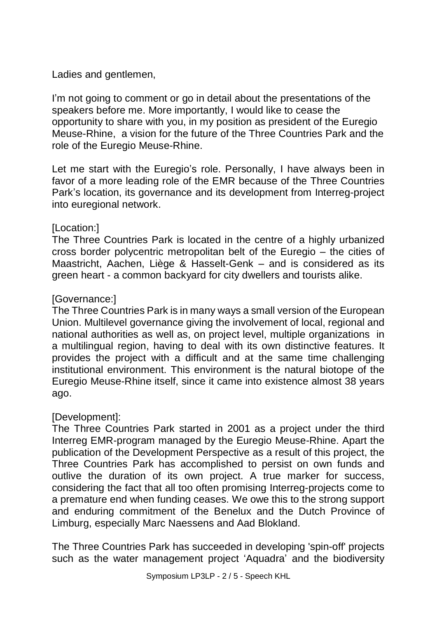Ladies and gentlemen,

I'm not going to comment or go in detail about the presentations of the speakers before me. More importantly, I would like to cease the opportunity to share with you, in my position as president of the Euregio Meuse-Rhine, a vision for the future of the Three Countries Park and the role of the Euregio Meuse-Rhine.

Let me start with the Euregio's role. Personally, I have always been in favor of a more leading role of the EMR because of the Three Countries Park's location, its governance and its development from Interreg-project into euregional network.

## [Location:]

The Three Countries Park is located in the centre of a highly urbanized cross border polycentric metropolitan belt of the Euregio – the cities of Maastricht, Aachen, Liège & Hasselt-Genk – and is considered as its green heart - a common backyard for city dwellers and tourists alike.

## [Governance:]

The Three Countries Park is in many ways a small version of the European Union. Multilevel governance giving the involvement of local, regional and national authorities as well as, on project level, multiple organizations in a multilingual region, having to deal with its own distinctive features. It provides the project with a difficult and at the same time challenging institutional environment. This environment is the natural biotope of the Euregio Meuse-Rhine itself, since it came into existence almost 38 years ago.

## [Development]:

The Three Countries Park started in 2001 as a project under the third Interreg EMR-program managed by the Euregio Meuse-Rhine. Apart the publication of the Development Perspective as a result of this project, the Three Countries Park has accomplished to persist on own funds and outlive the duration of its own project. A true marker for success, considering the fact that all too often promising Interreg-projects come to a premature end when funding ceases. We owe this to the strong support and enduring commitment of the Benelux and the Dutch Province of Limburg, especially Marc Naessens and Aad Blokland.

The Three Countries Park has succeeded in developing 'spin-off' projects such as the water management project 'Aquadra' and the biodiversity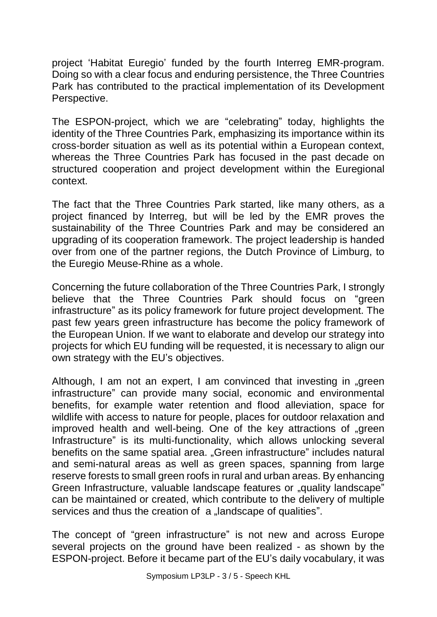project 'Habitat Euregio' funded by the fourth Interreg EMR-program. Doing so with a clear focus and enduring persistence, the Three Countries Park has contributed to the practical implementation of its Development Perspective.

The ESPON-project, which we are "celebrating" today, highlights the identity of the Three Countries Park, emphasizing its importance within its cross-border situation as well as its potential within a European context, whereas the Three Countries Park has focused in the past decade on structured cooperation and project development within the Euregional context.

The fact that the Three Countries Park started, like many others, as a project financed by Interreg, but will be led by the EMR proves the sustainability of the Three Countries Park and may be considered an upgrading of its cooperation framework. The project leadership is handed over from one of the partner regions, the Dutch Province of Limburg, to the Euregio Meuse-Rhine as a whole.

Concerning the future collaboration of the Three Countries Park, I strongly believe that the Three Countries Park should focus on "green infrastructure" as its policy framework for future project development. The past few years green infrastructure has become the policy framework of the European Union. If we want to elaborate and develop our strategy into projects for which EU funding will be requested, it is necessary to align our own strategy with the EU's objectives.

Although, I am not an expert, I am convinced that investing in "green infrastructure" can provide many social, economic and environmental benefits, for example water [retention](http://ec.europa.eu/environment/water/adaptation/ecosystemstorage.htm) and flood [alleviation,](http://ec.europa.eu/environment/water/flood_risk/better_options.htm) space for wildlife with access to nature for people, places for outdoor relaxation and improved health and well-being. One of the key attractions of "green Infrastructure" is its multi-functionality, which allows unlocking several benefits on the same spatial area. "Green infrastructure" includes natural and semi-natural areas as well as green spaces, spanning from large reserve forests to small green roofs in rural and urban areas. By enhancing Green Infrastructure, valuable landscape features or "quality landscape" can be maintained or created, which contribute to the delivery of multiple services and thus the creation of a "landscape of qualities".

The concept of "green infrastructure" is not new and across Europe several projects on the ground have been realized - as shown by the ESPON-project. Before it became part of the EU's daily vocabulary, it was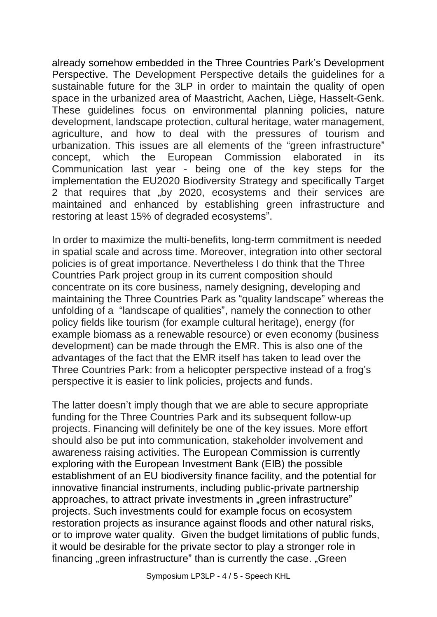already somehow embedded in the Three Countries Park's Development Perspective. The Development Perspective details the guidelines for a sustainable future for the 3LP in order to maintain the quality of open space in the urbanized area of Maastricht, Aachen, Liège, Hasselt-Genk. These guidelines focus on environmental planning policies, nature development, landscape protection, cultural heritage, water management, agriculture, and how to deal with the pressures of tourism and urbanization. This issues are all elements of the "green infrastructure" concept, which the European Commission elaborated in its Communication last year - being one of the key steps for the implementation the EU2020 Biodiversity Strategy and specifically Target 2 that requires that "by 2020, ecosystems and their services are maintained and enhanced by establishing green infrastructure and restoring at least 15% of degraded ecosystems".

In order to maximize the multi-benefits, long-term commitment is needed in spatial scale and across time. Moreover, integration into other sectoral policies is of great importance. Nevertheless I do think that the Three Countries Park project group in its current composition should concentrate on its core business, namely designing, developing and maintaining the Three Countries Park as "quality landscape" whereas the unfolding of a "landscape of qualities", namely the connection to other policy fields like tourism (for example cultural heritage), energy (for example biomass as a renewable resource) or even economy (business development) can be made through the EMR. This is also one of the advantages of the fact that the EMR itself has taken to lead over the Three Countries Park: from a helicopter perspective instead of a frog's perspective it is easier to link policies, projects and funds.

The latter doesn't imply though that we are able to secure appropriate funding for the Three Countries Park and its subsequent follow-up projects. Financing will definitely be one of the key issues. More effort should also be put into communication, stakeholder involvement and awareness raising activities. The European Commission is currently exploring with the European Investment Bank (EIB) the possible establishment of an EU biodiversity finance facility, and the potential for innovative financial instruments, including public-private partnership approaches, to attract private investments in "green infrastructure" projects. Such investments could for example focus on ecosystem restoration projects as insurance against floods and other natural risks, or to improve water quality. Given the budget limitations of public funds, it would be desirable for the private sector to play a stronger role in financing "green infrastructure" than is currently the case. "Green